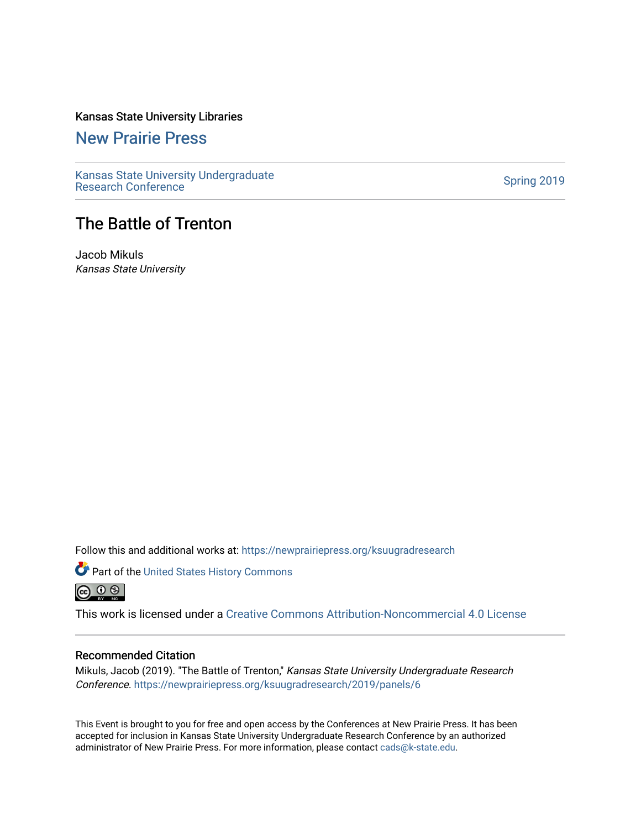# Kansas State University Libraries

[New Prairie Press](https://newprairiepress.org/) 

[Kansas State University Undergraduate](https://newprairiepress.org/ksuugradresearch)  Ransas State University Undergraduate<br>[Research Conference](https://newprairiepress.org/ksuugradresearch)

# The Battle of Trenton

Jacob Mikuls Kansas State University

Follow this and additional works at: [https://newprairiepress.org/ksuugradresearch](https://newprairiepress.org/ksuugradresearch?utm_source=newprairiepress.org%2Fksuugradresearch%2F2019%2Fpanels%2F6&utm_medium=PDF&utm_campaign=PDFCoverPages) 

Part of the [United States History Commons](http://network.bepress.com/hgg/discipline/495?utm_source=newprairiepress.org%2Fksuugradresearch%2F2019%2Fpanels%2F6&utm_medium=PDF&utm_campaign=PDFCoverPages)  

This work is licensed under a [Creative Commons Attribution-Noncommercial 4.0 License](https://creativecommons.org/licenses/by-nc/4.0/)

## Recommended Citation

Mikuls, Jacob (2019). "The Battle of Trenton," Kansas State University Undergraduate Research Conference.<https://newprairiepress.org/ksuugradresearch/2019/panels/6>

This Event is brought to you for free and open access by the Conferences at New Prairie Press. It has been accepted for inclusion in Kansas State University Undergraduate Research Conference by an authorized administrator of New Prairie Press. For more information, please contact [cads@k-state.edu](mailto:cads@k-state.edu).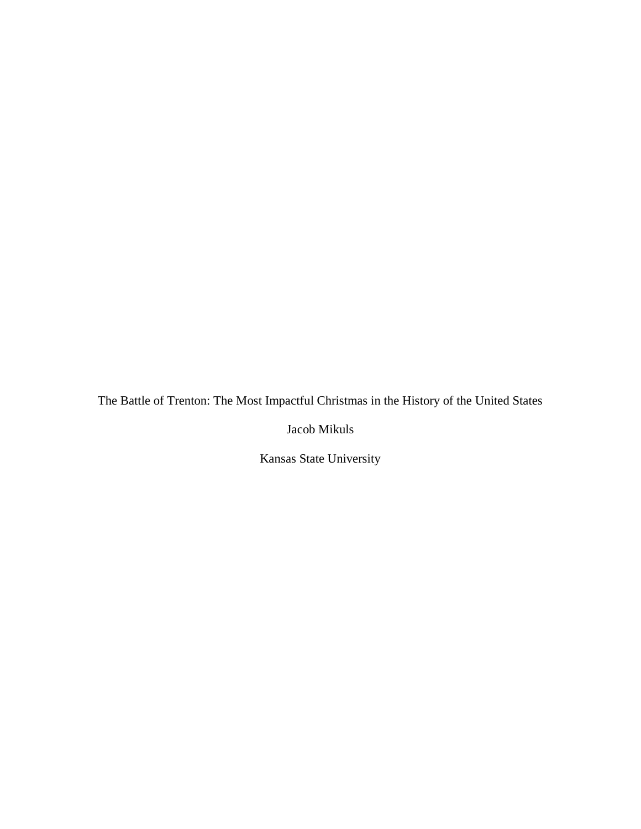The Battle of Trenton: The Most Impactful Christmas in the History of the United States

Jacob Mikuls

Kansas State University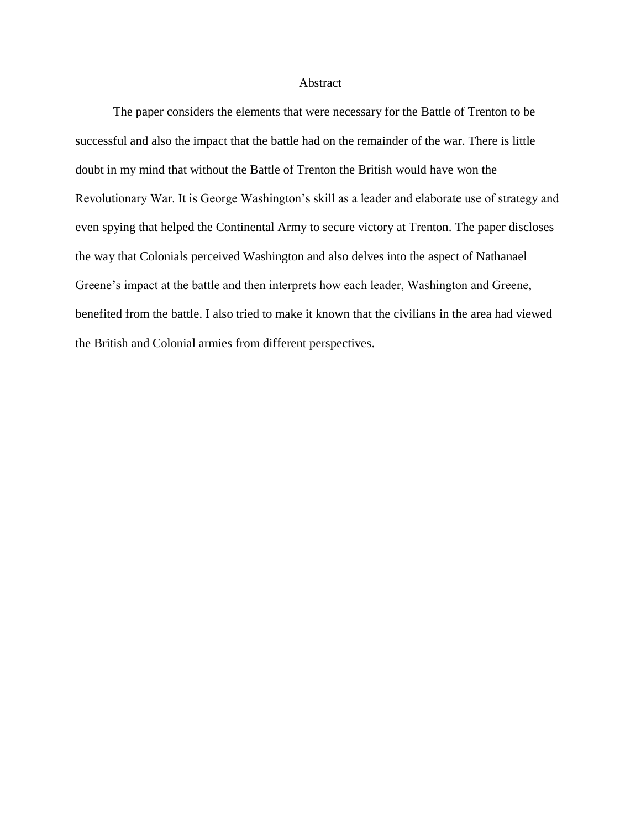### Abstract

The paper considers the elements that were necessary for the Battle of Trenton to be successful and also the impact that the battle had on the remainder of the war. There is little doubt in my mind that without the Battle of Trenton the British would have won the Revolutionary War. It is George Washington's skill as a leader and elaborate use of strategy and even spying that helped the Continental Army to secure victory at Trenton. The paper discloses the way that Colonials perceived Washington and also delves into the aspect of Nathanael Greene's impact at the battle and then interprets how each leader, Washington and Greene, benefited from the battle. I also tried to make it known that the civilians in the area had viewed the British and Colonial armies from different perspectives.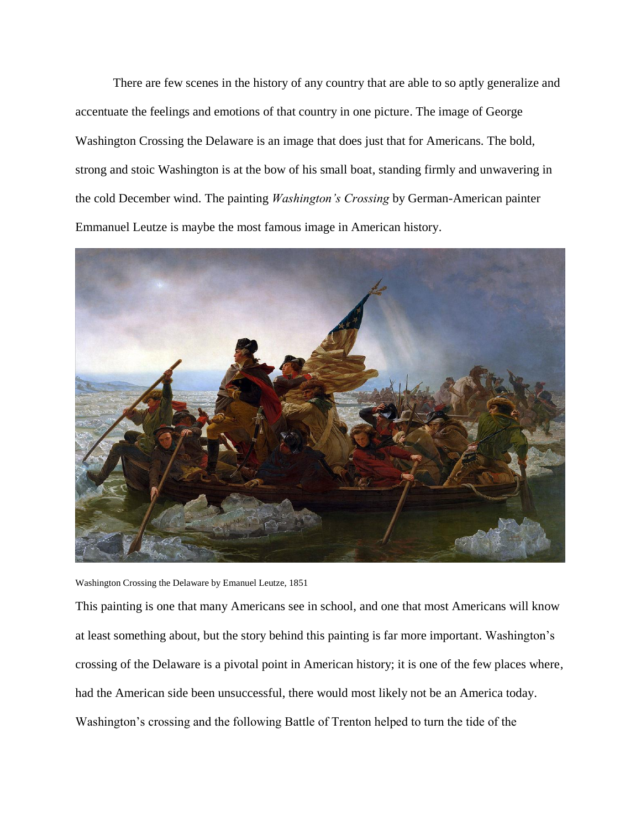There are few scenes in the history of any country that are able to so aptly generalize and accentuate the feelings and emotions of that country in one picture. The image of George Washington Crossing the Delaware is an image that does just that for Americans. The bold, strong and stoic Washington is at the bow of his small boat, standing firmly and unwavering in the cold December wind. The painting *Washington's Crossing* by German-American painter Emmanuel Leutze is maybe the most famous image in American history.



Washington Crossing the Delaware by Emanuel Leutze, 1851

This painting is one that many Americans see in school, and one that most Americans will know at least something about, but the story behind this painting is far more important. Washington's crossing of the Delaware is a pivotal point in American history; it is one of the few places where, had the American side been unsuccessful, there would most likely not be an America today. Washington's crossing and the following Battle of Trenton helped to turn the tide of the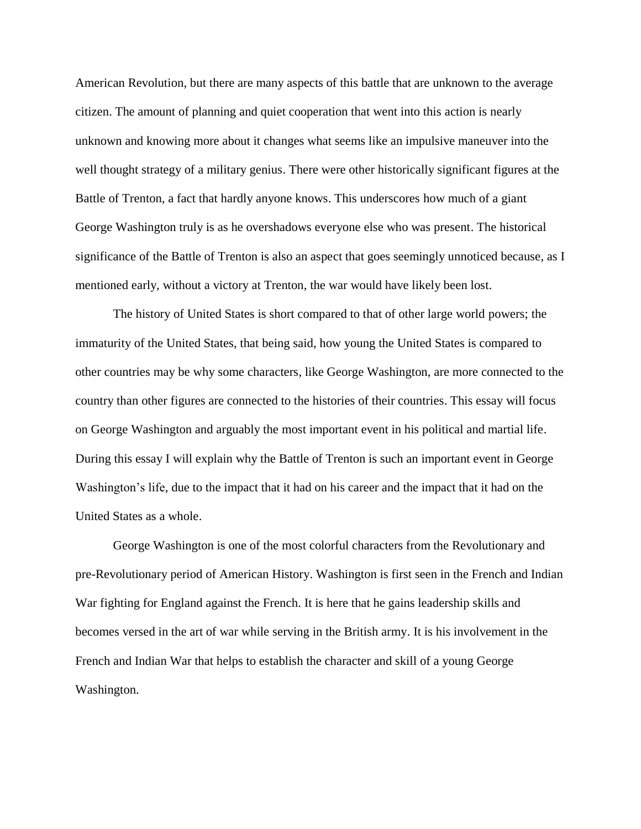American Revolution, but there are many aspects of this battle that are unknown to the average citizen. The amount of planning and quiet cooperation that went into this action is nearly unknown and knowing more about it changes what seems like an impulsive maneuver into the well thought strategy of a military genius. There were other historically significant figures at the Battle of Trenton, a fact that hardly anyone knows. This underscores how much of a giant George Washington truly is as he overshadows everyone else who was present. The historical significance of the Battle of Trenton is also an aspect that goes seemingly unnoticed because, as I mentioned early, without a victory at Trenton, the war would have likely been lost.

The history of United States is short compared to that of other large world powers; the immaturity of the United States, that being said, how young the United States is compared to other countries may be why some characters, like George Washington, are more connected to the country than other figures are connected to the histories of their countries. This essay will focus on George Washington and arguably the most important event in his political and martial life. During this essay I will explain why the Battle of Trenton is such an important event in George Washington's life, due to the impact that it had on his career and the impact that it had on the United States as a whole.

George Washington is one of the most colorful characters from the Revolutionary and pre-Revolutionary period of American History. Washington is first seen in the French and Indian War fighting for England against the French. It is here that he gains leadership skills and becomes versed in the art of war while serving in the British army. It is his involvement in the French and Indian War that helps to establish the character and skill of a young George Washington.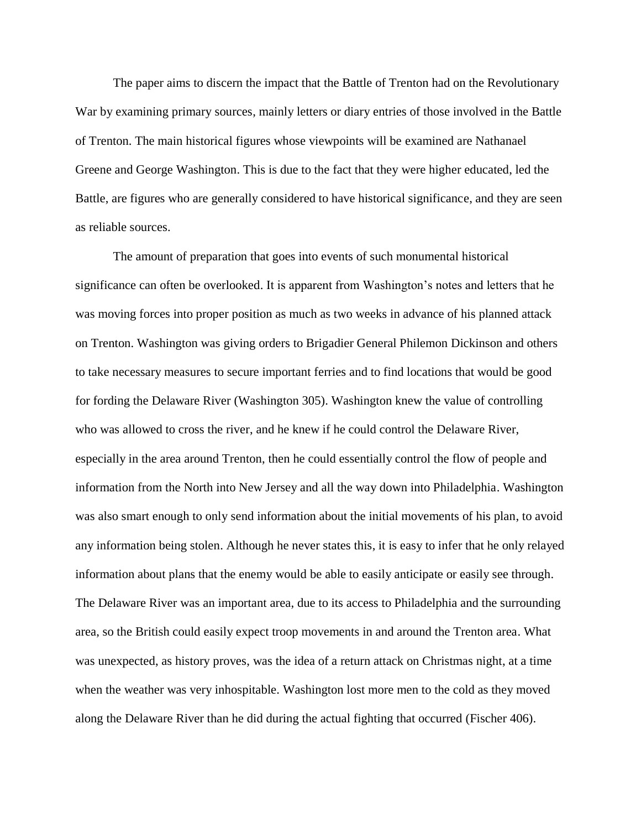The paper aims to discern the impact that the Battle of Trenton had on the Revolutionary War by examining primary sources, mainly letters or diary entries of those involved in the Battle of Trenton. The main historical figures whose viewpoints will be examined are Nathanael Greene and George Washington. This is due to the fact that they were higher educated, led the Battle, are figures who are generally considered to have historical significance, and they are seen as reliable sources.

The amount of preparation that goes into events of such monumental historical significance can often be overlooked. It is apparent from Washington's notes and letters that he was moving forces into proper position as much as two weeks in advance of his planned attack on Trenton. Washington was giving orders to Brigadier General Philemon Dickinson and others to take necessary measures to secure important ferries and to find locations that would be good for fording the Delaware River (Washington 305). Washington knew the value of controlling who was allowed to cross the river, and he knew if he could control the Delaware River, especially in the area around Trenton, then he could essentially control the flow of people and information from the North into New Jersey and all the way down into Philadelphia. Washington was also smart enough to only send information about the initial movements of his plan, to avoid any information being stolen. Although he never states this, it is easy to infer that he only relayed information about plans that the enemy would be able to easily anticipate or easily see through. The Delaware River was an important area, due to its access to Philadelphia and the surrounding area, so the British could easily expect troop movements in and around the Trenton area. What was unexpected, as history proves, was the idea of a return attack on Christmas night, at a time when the weather was very inhospitable. Washington lost more men to the cold as they moved along the Delaware River than he did during the actual fighting that occurred (Fischer 406).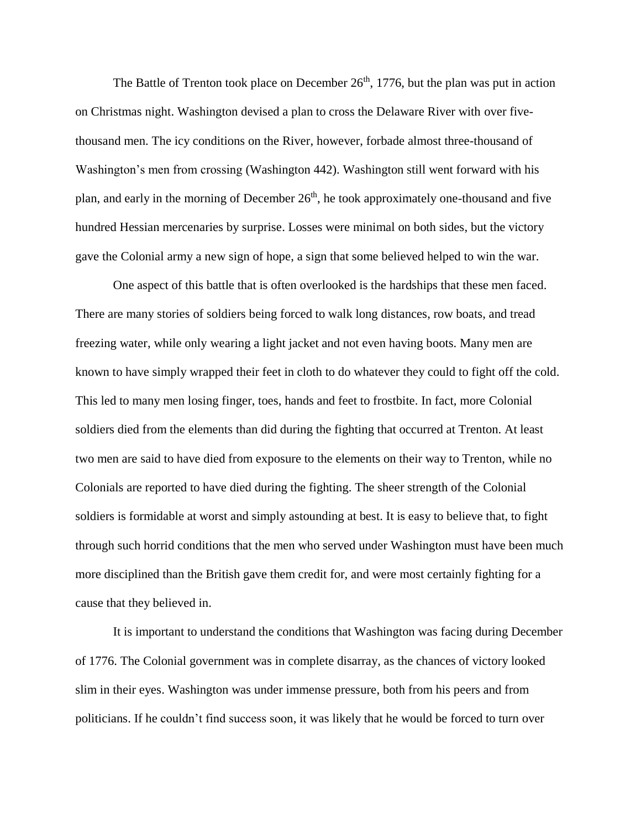The Battle of Trenton took place on December  $26<sup>th</sup>$ , 1776, but the plan was put in action on Christmas night. Washington devised a plan to cross the Delaware River with over fivethousand men. The icy conditions on the River, however, forbade almost three-thousand of Washington's men from crossing (Washington 442). Washington still went forward with his plan, and early in the morning of December 26<sup>th</sup>, he took approximately one-thousand and five hundred Hessian mercenaries by surprise. Losses were minimal on both sides, but the victory gave the Colonial army a new sign of hope, a sign that some believed helped to win the war.

One aspect of this battle that is often overlooked is the hardships that these men faced. There are many stories of soldiers being forced to walk long distances, row boats, and tread freezing water, while only wearing a light jacket and not even having boots. Many men are known to have simply wrapped their feet in cloth to do whatever they could to fight off the cold. This led to many men losing finger, toes, hands and feet to frostbite. In fact, more Colonial soldiers died from the elements than did during the fighting that occurred at Trenton. At least two men are said to have died from exposure to the elements on their way to Trenton, while no Colonials are reported to have died during the fighting. The sheer strength of the Colonial soldiers is formidable at worst and simply astounding at best. It is easy to believe that, to fight through such horrid conditions that the men who served under Washington must have been much more disciplined than the British gave them credit for, and were most certainly fighting for a cause that they believed in.

It is important to understand the conditions that Washington was facing during December of 1776. The Colonial government was in complete disarray, as the chances of victory looked slim in their eyes. Washington was under immense pressure, both from his peers and from politicians. If he couldn't find success soon, it was likely that he would be forced to turn over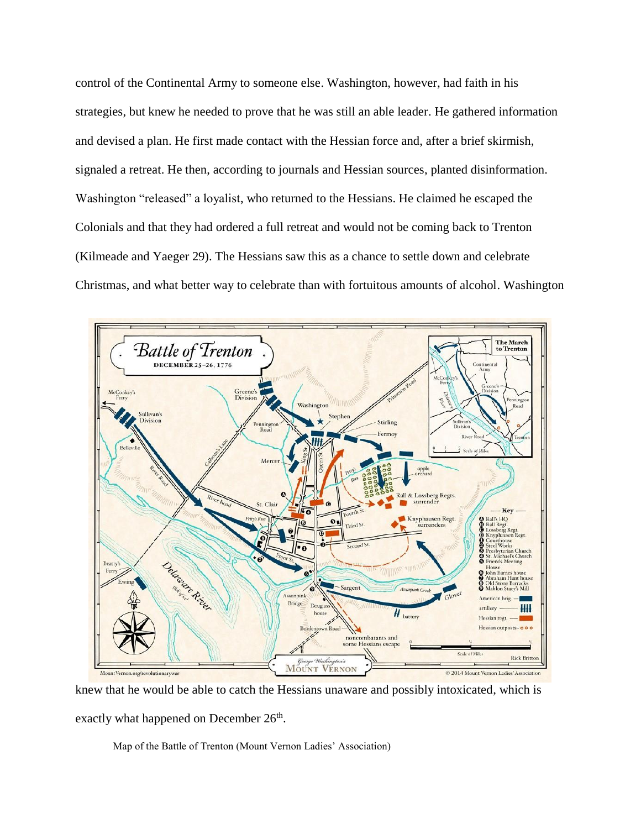control of the Continental Army to someone else. Washington, however, had faith in his strategies, but knew he needed to prove that he was still an able leader. He gathered information and devised a plan. He first made contact with the Hessian force and, after a brief skirmish, signaled a retreat. He then, according to journals and Hessian sources, planted disinformation. Washington "released" a loyalist, who returned to the Hessians. He claimed he escaped the Colonials and that they had ordered a full retreat and would not be coming back to Trenton (Kilmeade and Yaeger 29). The Hessians saw this as a chance to settle down and celebrate Christmas, and what better way to celebrate than with fortuitous amounts of alcohol. Washington



knew that he would be able to catch the Hessians unaware and possibly intoxicated, which is exactly what happened on December 26<sup>th</sup>.

Map of the Battle of Trenton (Mount Vernon Ladies' Association)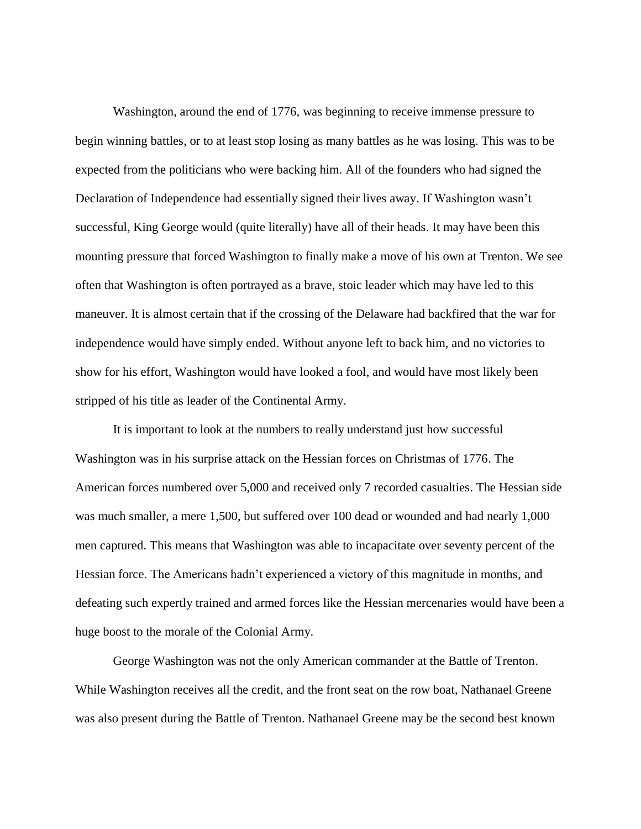Washington, around the end of 1776, was beginning to receive immense pressure to begin winning battles, or to at least stop losing as many battles as he was losing. This was to be expected from the politicians who were backing him. All of the founders who had signed the Declaration of Independence had essentially signed their lives away. If Washington wasn't successful, King George would (quite literally) have all of their heads. It may have been this mounting pressure that forced Washington to finally make a move of his own at Trenton. We see often that Washington is often portrayed as a brave, stoic leader which may have led to this maneuver. It is almost certain that if the crossing of the Delaware had backfired that the war for independence would have simply ended. Without anyone left to back him, and no victories to show for his effort, Washington would have looked a fool, and would have most likely been stripped of his title as leader of the Continental Army.

It is important to look at the numbers to really understand just how successful Washington was in his surprise attack on the Hessian forces on Christmas of 1776. The American forces numbered over 5,000 and received only 7 recorded casualties. The Hessian side was much smaller, a mere 1,500, but suffered over 100 dead or wounded and had nearly 1,000 men captured. This means that Washington was able to incapacitate over seventy percent of the Hessian force. The Americans hadn't experienced a victory of this magnitude in months, and defeating such expertly trained and armed forces like the Hessian mercenaries would have been a huge boost to the morale of the Colonial Army.

George Washington was not the only American commander at the Battle of Trenton. While Washington receives all the credit, and the front seat on the row boat, Nathanael Greene was also present during the Battle of Trenton. Nathanael Greene may be the second best known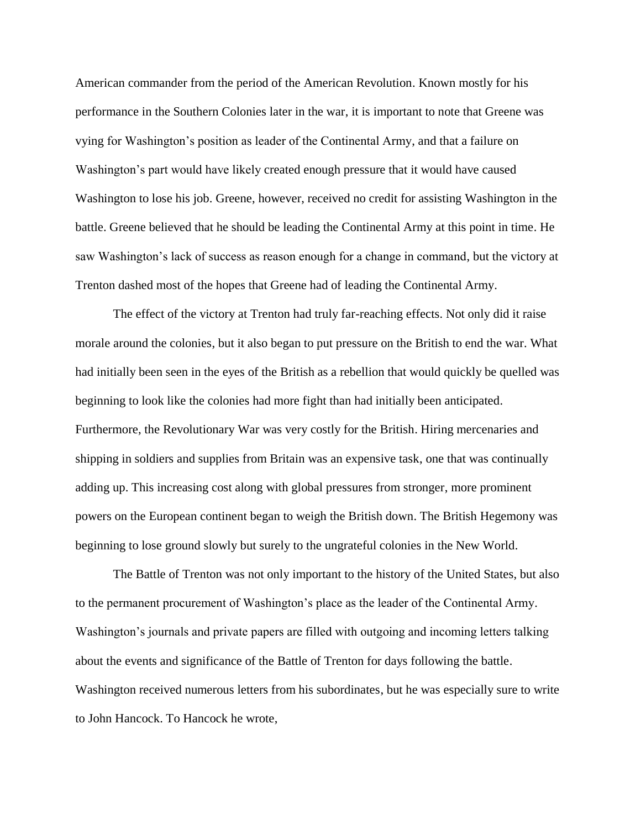American commander from the period of the American Revolution. Known mostly for his performance in the Southern Colonies later in the war, it is important to note that Greene was vying for Washington's position as leader of the Continental Army, and that a failure on Washington's part would have likely created enough pressure that it would have caused Washington to lose his job. Greene, however, received no credit for assisting Washington in the battle. Greene believed that he should be leading the Continental Army at this point in time. He saw Washington's lack of success as reason enough for a change in command, but the victory at Trenton dashed most of the hopes that Greene had of leading the Continental Army.

The effect of the victory at Trenton had truly far-reaching effects. Not only did it raise morale around the colonies, but it also began to put pressure on the British to end the war. What had initially been seen in the eyes of the British as a rebellion that would quickly be quelled was beginning to look like the colonies had more fight than had initially been anticipated. Furthermore, the Revolutionary War was very costly for the British. Hiring mercenaries and shipping in soldiers and supplies from Britain was an expensive task, one that was continually adding up. This increasing cost along with global pressures from stronger, more prominent powers on the European continent began to weigh the British down. The British Hegemony was beginning to lose ground slowly but surely to the ungrateful colonies in the New World.

The Battle of Trenton was not only important to the history of the United States, but also to the permanent procurement of Washington's place as the leader of the Continental Army. Washington's journals and private papers are filled with outgoing and incoming letters talking about the events and significance of the Battle of Trenton for days following the battle. Washington received numerous letters from his subordinates, but he was especially sure to write to John Hancock. To Hancock he wrote,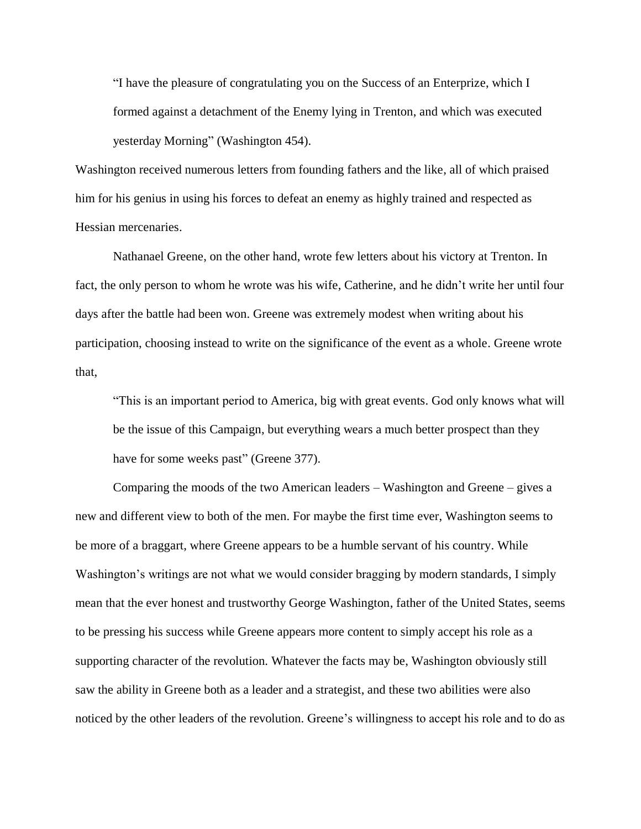"I have the pleasure of congratulating you on the Success of an Enterprize, which I formed against a detachment of the Enemy lying in Trenton, and which was executed yesterday Morning" (Washington 454).

Washington received numerous letters from founding fathers and the like, all of which praised him for his genius in using his forces to defeat an enemy as highly trained and respected as Hessian mercenaries.

Nathanael Greene, on the other hand, wrote few letters about his victory at Trenton. In fact, the only person to whom he wrote was his wife, Catherine, and he didn't write her until four days after the battle had been won. Greene was extremely modest when writing about his participation, choosing instead to write on the significance of the event as a whole. Greene wrote that,

"This is an important period to America, big with great events. God only knows what will be the issue of this Campaign, but everything wears a much better prospect than they have for some weeks past" (Greene 377).

Comparing the moods of the two American leaders – Washington and Greene – gives a new and different view to both of the men. For maybe the first time ever, Washington seems to be more of a braggart, where Greene appears to be a humble servant of his country. While Washington's writings are not what we would consider bragging by modern standards, I simply mean that the ever honest and trustworthy George Washington, father of the United States, seems to be pressing his success while Greene appears more content to simply accept his role as a supporting character of the revolution. Whatever the facts may be, Washington obviously still saw the ability in Greene both as a leader and a strategist, and these two abilities were also noticed by the other leaders of the revolution. Greene's willingness to accept his role and to do as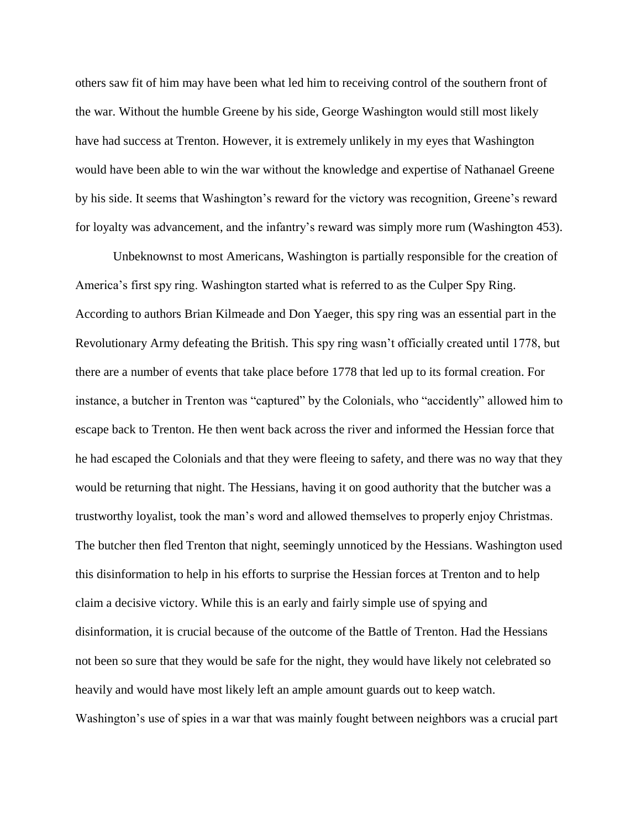others saw fit of him may have been what led him to receiving control of the southern front of the war. Without the humble Greene by his side, George Washington would still most likely have had success at Trenton. However, it is extremely unlikely in my eyes that Washington would have been able to win the war without the knowledge and expertise of Nathanael Greene by his side. It seems that Washington's reward for the victory was recognition, Greene's reward for loyalty was advancement, and the infantry's reward was simply more rum (Washington 453).

Unbeknownst to most Americans, Washington is partially responsible for the creation of America's first spy ring. Washington started what is referred to as the Culper Spy Ring. According to authors Brian Kilmeade and Don Yaeger, this spy ring was an essential part in the Revolutionary Army defeating the British. This spy ring wasn't officially created until 1778, but there are a number of events that take place before 1778 that led up to its formal creation. For instance, a butcher in Trenton was "captured" by the Colonials, who "accidently" allowed him to escape back to Trenton. He then went back across the river and informed the Hessian force that he had escaped the Colonials and that they were fleeing to safety, and there was no way that they would be returning that night. The Hessians, having it on good authority that the butcher was a trustworthy loyalist, took the man's word and allowed themselves to properly enjoy Christmas. The butcher then fled Trenton that night, seemingly unnoticed by the Hessians. Washington used this disinformation to help in his efforts to surprise the Hessian forces at Trenton and to help claim a decisive victory. While this is an early and fairly simple use of spying and disinformation, it is crucial because of the outcome of the Battle of Trenton. Had the Hessians not been so sure that they would be safe for the night, they would have likely not celebrated so heavily and would have most likely left an ample amount guards out to keep watch. Washington's use of spies in a war that was mainly fought between neighbors was a crucial part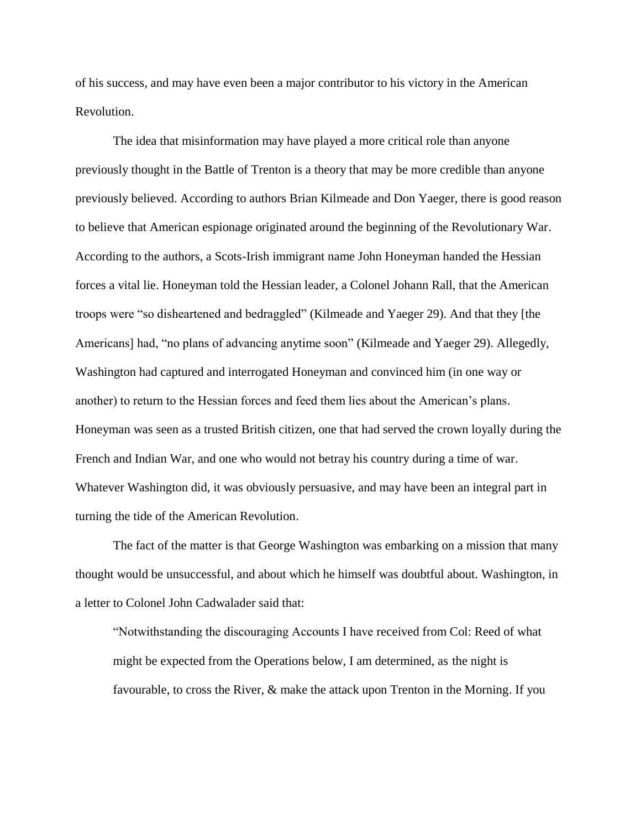of his success, and may have even been a major contributor to his victory in the American Revolution.

The idea that misinformation may have played a more critical role than anyone previously thought in the Battle of Trenton is a theory that may be more credible than anyone previously believed. According to authors Brian Kilmeade and Don Yaeger, there is good reason to believe that American espionage originated around the beginning of the Revolutionary War. According to the authors, a Scots-Irish immigrant name John Honeyman handed the Hessian forces a vital lie. Honeyman told the Hessian leader, a Colonel Johann Rall, that the American troops were "so disheartened and bedraggled" (Kilmeade and Yaeger 29). And that they [the Americans] had, "no plans of advancing anytime soon" (Kilmeade and Yaeger 29). Allegedly, Washington had captured and interrogated Honeyman and convinced him (in one way or another) to return to the Hessian forces and feed them lies about the American's plans. Honeyman was seen as a trusted British citizen, one that had served the crown loyally during the French and Indian War, and one who would not betray his country during a time of war. Whatever Washington did, it was obviously persuasive, and may have been an integral part in turning the tide of the American Revolution.

The fact of the matter is that George Washington was embarking on a mission that many thought would be unsuccessful, and about which he himself was doubtful about. Washington, in a letter to Colonel John Cadwalader said that:

"Notwithstanding the discouraging Accounts I have received from Col: Reed of what might be expected from the Operations below, I am determined, as the night is favourable, to cross the River, & make the attack upon Trenton in the Morning. If you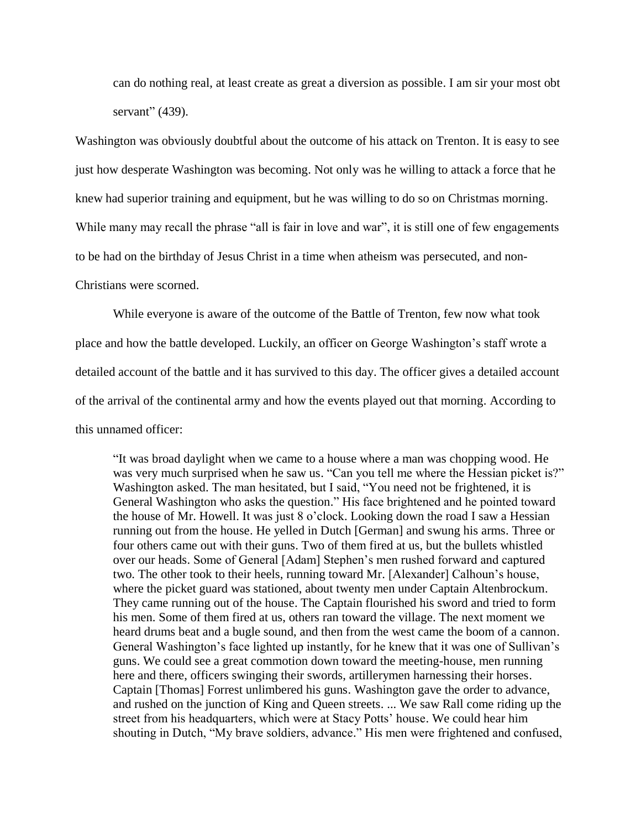can do nothing real, at least create as great a diversion as possible. I am sir your most obt servant" (439).

Washington was obviously doubtful about the outcome of his attack on Trenton. It is easy to see just how desperate Washington was becoming. Not only was he willing to attack a force that he knew had superior training and equipment, but he was willing to do so on Christmas morning. While many may recall the phrase "all is fair in love and war", it is still one of few engagements to be had on the birthday of Jesus Christ in a time when atheism was persecuted, and non-Christians were scorned.

While everyone is aware of the outcome of the Battle of Trenton, few now what took place and how the battle developed. Luckily, an officer on George Washington's staff wrote a detailed account of the battle and it has survived to this day. The officer gives a detailed account of the arrival of the continental army and how the events played out that morning. According to this unnamed officer:

"It was broad daylight when we came to a house where a man was chopping wood. He was very much surprised when he saw us. "Can you tell me where the Hessian picket is?" Washington asked. The man hesitated, but I said, "You need not be frightened, it is General Washington who asks the question." His face brightened and he pointed toward the house of Mr. Howell. It was just 8 o'clock. Looking down the road I saw a Hessian running out from the house. He yelled in Dutch [German] and swung his arms. Three or four others came out with their guns. Two of them fired at us, but the bullets whistled over our heads. Some of General [Adam] Stephen's men rushed forward and captured two. The other took to their heels, running toward Mr. [Alexander] Calhoun's house, where the picket guard was stationed, about twenty men under Captain Altenbrockum. They came running out of the house. The Captain flourished his sword and tried to form his men. Some of them fired at us, others ran toward the village. The next moment we heard drums beat and a bugle sound, and then from the west came the boom of a cannon. General Washington's face lighted up instantly, for he knew that it was one of Sullivan's guns. We could see a great commotion down toward the meeting-house, men running here and there, officers swinging their swords, artillerymen harnessing their horses. Captain [Thomas] Forrest unlimbered his guns. Washington gave the order to advance, and rushed on the junction of King and Queen streets. ... We saw Rall come riding up the street from his headquarters, which were at Stacy Potts' house. We could hear him shouting in Dutch, "My brave soldiers, advance." His men were frightened and confused,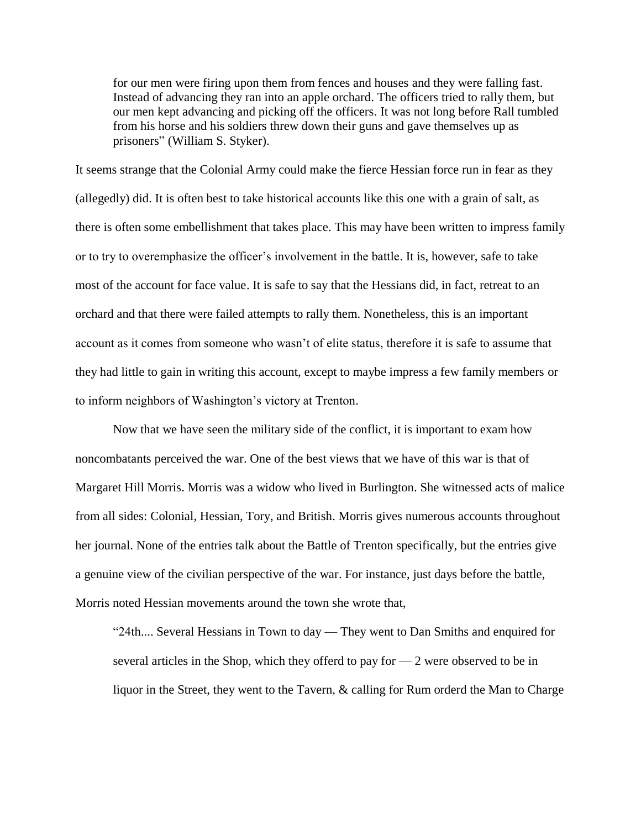for our men were firing upon them from fences and houses and they were falling fast. Instead of advancing they ran into an apple orchard. The officers tried to rally them, but our men kept advancing and picking off the officers. It was not long before Rall tumbled from his horse and his soldiers threw down their guns and gave themselves up as prisoners" (William S. Styker).

It seems strange that the Colonial Army could make the fierce Hessian force run in fear as they (allegedly) did. It is often best to take historical accounts like this one with a grain of salt, as there is often some embellishment that takes place. This may have been written to impress family or to try to overemphasize the officer's involvement in the battle. It is, however, safe to take most of the account for face value. It is safe to say that the Hessians did, in fact, retreat to an orchard and that there were failed attempts to rally them. Nonetheless, this is an important account as it comes from someone who wasn't of elite status, therefore it is safe to assume that they had little to gain in writing this account, except to maybe impress a few family members or to inform neighbors of Washington's victory at Trenton.

Now that we have seen the military side of the conflict, it is important to exam how noncombatants perceived the war. One of the best views that we have of this war is that of Margaret Hill Morris. Morris was a widow who lived in Burlington. She witnessed acts of malice from all sides: Colonial, Hessian, Tory, and British. Morris gives numerous accounts throughout her journal. None of the entries talk about the Battle of Trenton specifically, but the entries give a genuine view of the civilian perspective of the war. For instance, just days before the battle, Morris noted Hessian movements around the town she wrote that,

"24th.... Several Hessians in Town to day — They went to Dan Smiths and enquired for several articles in the Shop, which they offerd to pay for  $-2$  were observed to be in liquor in the Street, they went to the Tavern, & calling for Rum orderd the Man to Charge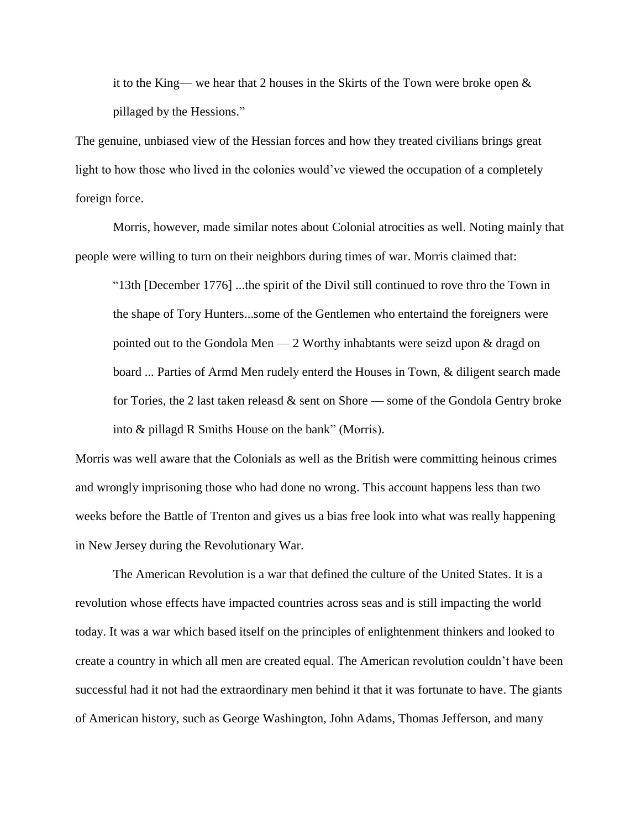it to the King— we hear that 2 houses in the Skirts of the Town were broke open  $\&$ pillaged by the Hessions."

The genuine, unbiased view of the Hessian forces and how they treated civilians brings great light to how those who lived in the colonies would've viewed the occupation of a completely foreign force.

Morris, however, made similar notes about Colonial atrocities as well. Noting mainly that people were willing to turn on their neighbors during times of war. Morris claimed that:

"13th [December 1776] ...the spirit of the Divil still continued to rove thro the Town in the shape of Tory Hunters...some of the Gentlemen who entertaind the foreigners were pointed out to the Gondola Men  $-2$  Worthy inhabtants were seizd upon & dragd on board ... Parties of Armd Men rudely enterd the Houses in Town, & diligent search made for Tories, the 2 last taken releasd  $\&$  sent on Shore — some of the Gondola Gentry broke into & pillagd R Smiths House on the bank" (Morris).

Morris was well aware that the Colonials as well as the British were committing heinous crimes and wrongly imprisoning those who had done no wrong. This account happens less than two weeks before the Battle of Trenton and gives us a bias free look into what was really happening in New Jersey during the Revolutionary War.

The American Revolution is a war that defined the culture of the United States. It is a revolution whose effects have impacted countries across seas and is still impacting the world today. It was a war which based itself on the principles of enlightenment thinkers and looked to create a country in which all men are created equal. The American revolution couldn't have been successful had it not had the extraordinary men behind it that it was fortunate to have. The giants of American history, such as George Washington, John Adams, Thomas Jefferson, and many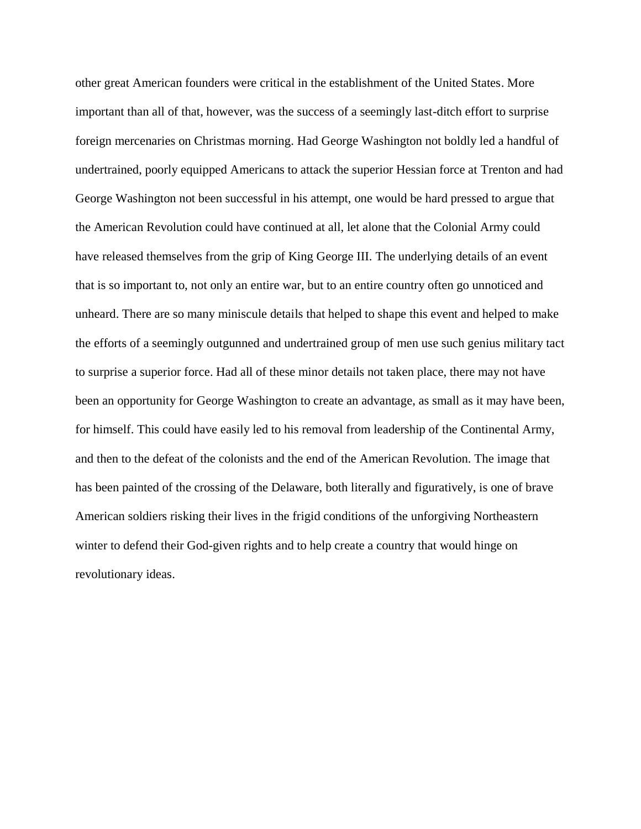other great American founders were critical in the establishment of the United States. More important than all of that, however, was the success of a seemingly last-ditch effort to surprise foreign mercenaries on Christmas morning. Had George Washington not boldly led a handful of undertrained, poorly equipped Americans to attack the superior Hessian force at Trenton and had George Washington not been successful in his attempt, one would be hard pressed to argue that the American Revolution could have continued at all, let alone that the Colonial Army could have released themselves from the grip of King George III. The underlying details of an event that is so important to, not only an entire war, but to an entire country often go unnoticed and unheard. There are so many miniscule details that helped to shape this event and helped to make the efforts of a seemingly outgunned and undertrained group of men use such genius military tact to surprise a superior force. Had all of these minor details not taken place, there may not have been an opportunity for George Washington to create an advantage, as small as it may have been, for himself. This could have easily led to his removal from leadership of the Continental Army, and then to the defeat of the colonists and the end of the American Revolution. The image that has been painted of the crossing of the Delaware, both literally and figuratively, is one of brave American soldiers risking their lives in the frigid conditions of the unforgiving Northeastern winter to defend their God-given rights and to help create a country that would hinge on revolutionary ideas.